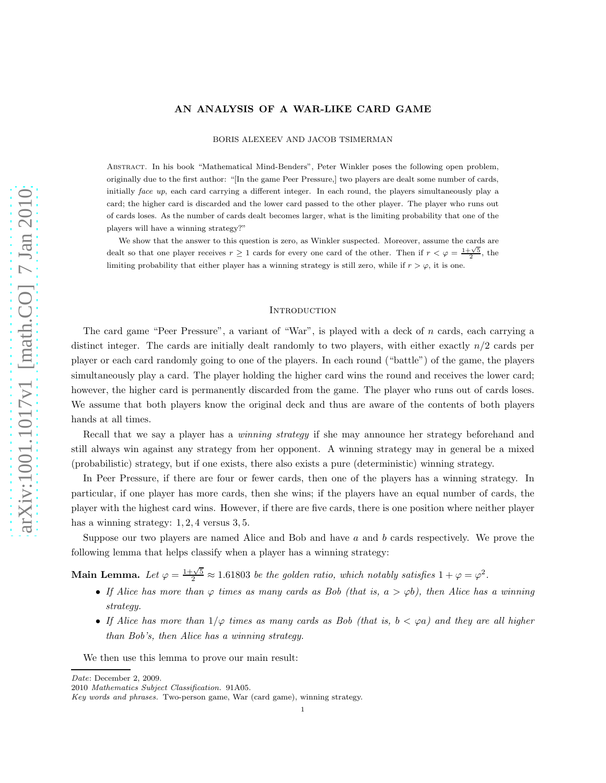## AN ANALYSIS OF A WAR-LIKE CARD GAME

BORIS ALEXEEV AND JACOB TSIMERMAN

Abstract. In his book "Mathematical Mind-Benders", Peter Winkler poses the following open problem, originally due to the first author: "[In the game Peer Pressure,] two players are dealt some number of cards, initially face up, each card carrying a different integer. In each round, the players simultaneously play a card; the higher card is discarded and the lower card passed to the other player. The player who runs out of cards loses. As the number of cards dealt becomes larger, what is the limiting probability that one of the players will have a winning strategy?"

We show that the answer to this question is zero, as Winkler suspected. Moreover, assume the cards are dealt so that one player receives  $r \geq 1$  cards for every one card of the other. Then if  $r < \varphi = \frac{1+\sqrt{5}}{2}$ , the limiting probability that either player has a winning strategy is still zero, while if  $r > \varphi$ , it is one.

#### **INTRODUCTION**

The card game "Peer Pressure", a variant of "War", is played with a deck of n cards, each carrying a distinct integer. The cards are initially dealt randomly to two players, with either exactly  $n/2$  cards per player or each card randomly going to one of the players. In each round ("battle") of the game, the players simultaneously play a card. The player holding the higher card wins the round and receives the lower card; however, the higher card is permanently discarded from the game. The player who runs out of cards loses. We assume that both players know the original deck and thus are aware of the contents of both players hands at all times.

Recall that we say a player has a *winning strategy* if she may announce her strategy beforehand and still always win against any strategy from her opponent. A winning strategy may in general be a mixed (probabilistic) strategy, but if one exists, there also exists a pure (deterministic) winning strategy.

In Peer Pressure, if there are four or fewer cards, then one of the players has a winning strategy. In particular, if one player has more cards, then she wins; if the players have an equal number of cards, the player with the highest card wins. However, if there are five cards, there is one position where neither player has a winning strategy:  $1, 2, 4$  versus  $3, 5$ .

Suppose our two players are named Alice and Bob and have  $a$  and  $b$  cards respectively. We prove the following lemma that helps classify when a player has a winning strategy:

Main Lemma. Let  $\varphi = \frac{1+\sqrt{5}}{2} \approx 1.61803$  be the golden ratio, which notably satisfies  $1 + \varphi = \varphi^2$ .

- If Alice has more than  $\varphi$  times as many cards as Bob (that is,  $a > \varphi b$ ), then Alice has a winning strategy.
- If Alice has more than  $1/\varphi$  times as many cards as Bob (that is,  $b < \varphi a$ ) and they are all higher than Bob's, then Alice has a winning strategy.

We then use this lemma to prove our main result:

Date: December 2, 2009.

<sup>2010</sup> Mathematics Subject Classification. 91A05.

Key words and phrases. Two-person game, War (card game), winning strategy.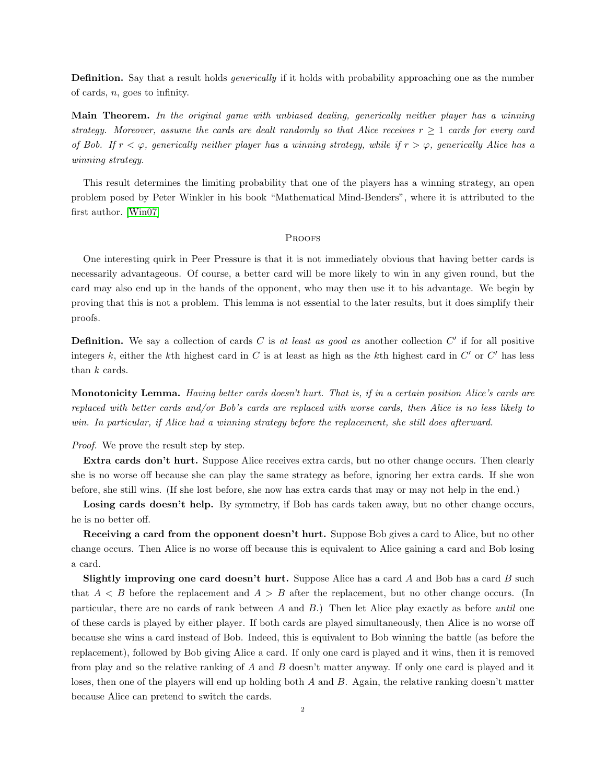**Definition.** Say that a result holds *generically* if it holds with probability approaching one as the number of cards,  $n$ , goes to infinity.

Main Theorem. In the original game with unbiased dealing, generically neither player has a winning strategy. Moreover, assume the cards are dealt randomly so that Alice receives  $r \geq 1$  cards for every card of Bob. If  $r < \varphi$ , generically neither player has a winning strategy, while if  $r > \varphi$ , generically Alice has a winning strategy.

This result determines the limiting probability that one of the players has a winning strategy, an open problem posed by Peter Winkler in his book "Mathematical Mind-Benders", where it is attributed to the first author. [\[Win07\]](#page-4-0)

### **PROOFS**

One interesting quirk in Peer Pressure is that it is not immediately obvious that having better cards is necessarily advantageous. Of course, a better card will be more likely to win in any given round, but the card may also end up in the hands of the opponent, who may then use it to his advantage. We begin by proving that this is not a problem. This lemma is not essential to the later results, but it does simplify their proofs.

**Definition.** We say a collection of cards C is at least as good as another collection  $C'$  if for all positive integers k, either the k<sup>th</sup> highest card in C is at least as high as the k<sup>th</sup> highest card in C' or C' has less than  $k$  cards.

Monotonicity Lemma. Having better cards doesn't hurt. That is, if in a certain position Alice's cards are replaced with better cards and/or Bob's cards are replaced with worse cards, then Alice is no less likely to win. In particular, if Alice had a winning strategy before the replacement, she still does afterward.

Proof. We prove the result step by step.

Extra cards don't hurt. Suppose Alice receives extra cards, but no other change occurs. Then clearly she is no worse off because she can play the same strategy as before, ignoring her extra cards. If she won before, she still wins. (If she lost before, she now has extra cards that may or may not help in the end.)

Losing cards doesn't help. By symmetry, if Bob has cards taken away, but no other change occurs, he is no better off.

Receiving a card from the opponent doesn't hurt. Suppose Bob gives a card to Alice, but no other change occurs. Then Alice is no worse off because this is equivalent to Alice gaining a card and Bob losing a card.

**Slightly improving one card doesn't hurt.** Suppose Alice has a card  $A$  and Bob has a card  $B$  such that  $A < B$  before the replacement and  $A > B$  after the replacement, but no other change occurs. (In particular, there are no cards of rank between  $A$  and  $B$ .) Then let Alice play exactly as before until one of these cards is played by either player. If both cards are played simultaneously, then Alice is no worse off because she wins a card instead of Bob. Indeed, this is equivalent to Bob winning the battle (as before the replacement), followed by Bob giving Alice a card. If only one card is played and it wins, then it is removed from play and so the relative ranking of A and B doesn't matter anyway. If only one card is played and it loses, then one of the players will end up holding both  $A$  and  $B$ . Again, the relative ranking doesn't matter because Alice can pretend to switch the cards.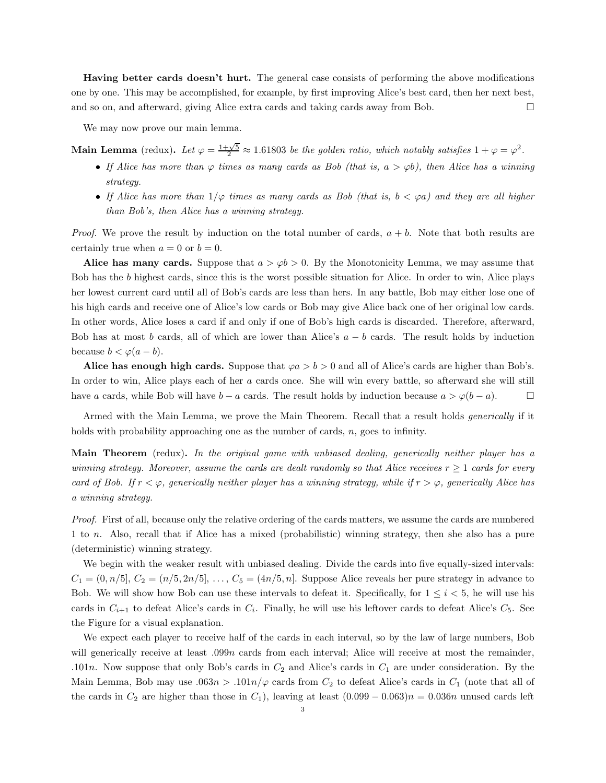Having better cards doesn't hurt. The general case consists of performing the above modifications one by one. This may be accomplished, for example, by first improving Alice's best card, then her next best, and so on, and afterward, giving Alice extra cards and taking cards away from Bob.

We may now prove our main lemma.

Main Lemma (redux). Let  $\varphi = \frac{1+\sqrt{5}}{2} \approx 1.61803$  be the golden ratio, which notably satisfies  $1 + \varphi = \varphi^2$ .

- If Alice has more than  $\varphi$  times as many cards as Bob (that is,  $a > \varphi b$ ), then Alice has a winning strategy.
- If Alice has more than  $1/\varphi$  times as many cards as Bob (that is,  $b < \varphi a$ ) and they are all higher than Bob's, then Alice has a winning strategy.

*Proof.* We prove the result by induction on the total number of cards,  $a + b$ . Note that both results are certainly true when  $a = 0$  or  $b = 0$ .

Alice has many cards. Suppose that  $a > \varphi b > 0$ . By the Monotonicity Lemma, we may assume that Bob has the b highest cards, since this is the worst possible situation for Alice. In order to win, Alice plays her lowest current card until all of Bob's cards are less than hers. In any battle, Bob may either lose one of his high cards and receive one of Alice's low cards or Bob may give Alice back one of her original low cards. In other words, Alice loses a card if and only if one of Bob's high cards is discarded. Therefore, afterward, Bob has at most b cards, all of which are lower than Alice's  $a - b$  cards. The result holds by induction because  $b < \varphi(a-b)$ .

Alice has enough high cards. Suppose that  $\varphi a > b > 0$  and all of Alice's cards are higher than Bob's. In order to win, Alice plays each of her a cards once. She will win every battle, so afterward she will still have a cards, while Bob will have  $b - a$  cards. The result holds by induction because  $a > \varphi(b - a)$ .

Armed with the Main Lemma, we prove the Main Theorem. Recall that a result holds *generically* if it holds with probability approaching one as the number of cards, n, goes to infinity.

Main Theorem (redux). In the original game with unbiased dealing, generically neither player has a winning strategy. Moreover, assume the cards are dealt randomly so that Alice receives  $r \geq 1$  cards for every card of Bob. If  $r < \varphi$ , generically neither player has a winning strategy, while if  $r > \varphi$ , generically Alice has a winning strategy.

Proof. First of all, because only the relative ordering of the cards matters, we assume the cards are numbered 1 to n. Also, recall that if Alice has a mixed (probabilistic) winning strategy, then she also has a pure (deterministic) winning strategy.

We begin with the weaker result with unbiased dealing. Divide the cards into five equally-sized intervals:  $C_1 = (0, n/5], C_2 = (n/5, 2n/5], \ldots, C_5 = (4n/5, n].$  Suppose Alice reveals her pure strategy in advance to Bob. We will show how Bob can use these intervals to defeat it. Specifically, for  $1 \leq i \leq 5$ , he will use his cards in  $C_{i+1}$  to defeat Alice's cards in  $C_i$ . Finally, he will use his leftover cards to defeat Alice's  $C_5$ . See the Figure for a visual explanation.

We expect each player to receive half of the cards in each interval, so by the law of large numbers, Bob will generically receive at least .099n cards from each interval; Alice will receive at most the remainder, .101n. Now suppose that only Bob's cards in  $C_2$  and Alice's cards in  $C_1$  are under consideration. By the Main Lemma, Bob may use .063n > .101n/ $\varphi$  cards from  $C_2$  to defeat Alice's cards in  $C_1$  (note that all of the cards in  $C_2$  are higher than those in  $C_1$ ), leaving at least  $(0.099 - 0.063)n = 0.036n$  unused cards left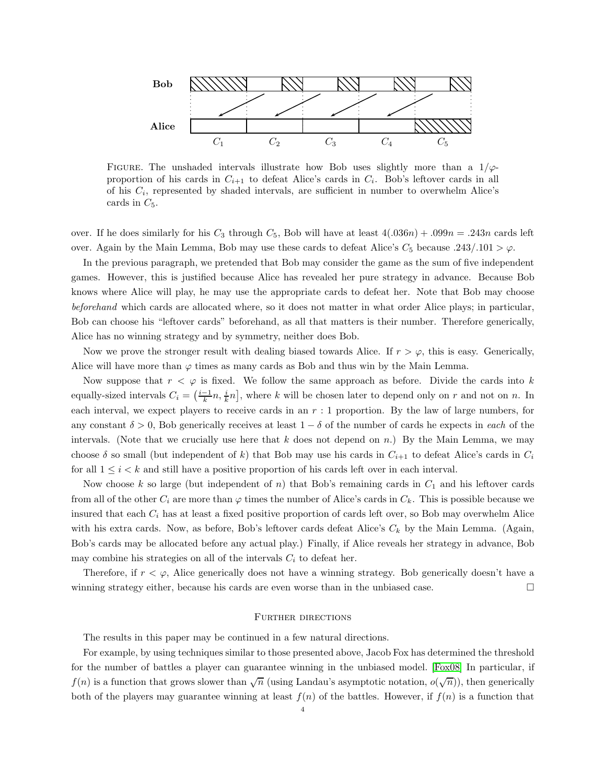

FIGURE. The unshaded intervals illustrate how Bob uses slightly more than a  $1/\varphi$ proportion of his cards in  $C_{i+1}$  to defeat Alice's cards in  $C_i$ . Bob's leftover cards in all of his  $C_i$ , represented by shaded intervals, are sufficient in number to overwhelm Alice's cards in  $C_5$ .

over. If he does similarly for his  $C_3$  through  $C_5$ , Bob will have at least  $4(.036n) + .099n = .243n$  cards left over. Again by the Main Lemma, Bob may use these cards to defeat Alice's  $C_5$  because .243/.101  $>\varphi$ .

In the previous paragraph, we pretended that Bob may consider the game as the sum of five independent games. However, this is justified because Alice has revealed her pure strategy in advance. Because Bob knows where Alice will play, he may use the appropriate cards to defeat her. Note that Bob may choose beforehand which cards are allocated where, so it does not matter in what order Alice plays; in particular, Bob can choose his "leftover cards" beforehand, as all that matters is their number. Therefore generically, Alice has no winning strategy and by symmetry, neither does Bob.

Now we prove the stronger result with dealing biased towards Alice. If  $r > \varphi$ , this is easy. Generically, Alice will have more than  $\varphi$  times as many cards as Bob and thus win by the Main Lemma.

Now suppose that  $r < \varphi$  is fixed. We follow the same approach as before. Divide the cards into k equally-sized intervals  $C_i = \left(\frac{i-1}{k}n, \frac{i}{k}n\right]$ , where k will be chosen later to depend only on r and not on n. In each interval, we expect players to receive cards in an  $r:1$  proportion. By the law of large numbers, for any constant  $\delta > 0$ , Bob generically receives at least  $1 - \delta$  of the number of cards he expects in each of the intervals. (Note that we crucially use here that  $k$  does not depend on n.) By the Main Lemma, we may choose  $\delta$  so small (but independent of k) that Bob may use his cards in  $C_{i+1}$  to defeat Alice's cards in  $C_i$ for all  $1 \leq i \leq k$  and still have a positive proportion of his cards left over in each interval.

Now choose k so large (but independent of n) that Bob's remaining cards in  $C_1$  and his leftover cards from all of the other  $C_i$  are more than  $\varphi$  times the number of Alice's cards in  $C_k$ . This is possible because we insured that each  $C_i$  has at least a fixed positive proportion of cards left over, so Bob may overwhelm Alice with his extra cards. Now, as before, Bob's leftover cards defeat Alice's  $C_k$  by the Main Lemma. (Again, Bob's cards may be allocated before any actual play.) Finally, if Alice reveals her strategy in advance, Bob may combine his strategies on all of the intervals  $C_i$  to defeat her.

Therefore, if  $r < \varphi$ , Alice generically does not have a winning strategy. Bob generically doesn't have a winning strategy either, because his cards are even worse than in the unbiased case.

#### FURTHER DIRECTIONS

The results in this paper may be continued in a few natural directions.

For example, by using techniques similar to those presented above, Jacob Fox has determined the threshold for the number of battles a player can guarantee winning in the unbiased model. [\[Fox08\]](#page-4-1) In particular, if  $f(n)$  is a function that grows slower than  $\sqrt{n}$  (using Landau's asymptotic notation,  $o(\sqrt{n})$ ), then generically both of the players may guarantee winning at least  $f(n)$  of the battles. However, if  $f(n)$  is a function that